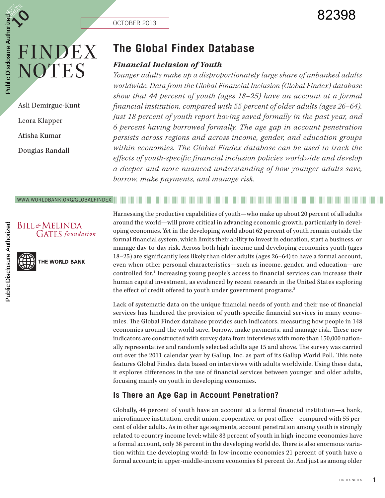OCTOBER 2013

# FINDEX NOTES

**NOTE** 

 $\bm{\zeta}$ 

Public Disclosure Authorized

Public Disclosure Authorized

Asli Demirguc-Kunt Leora Klapper Atisha Kumar Douglas Randall

## **The Global Findex Database**

#### *Financial Inclusion of Youth*

*Younger adults make up a disproportionately large share of unbanked adults worldwide. Data from the Global Financial Inclusion (Global Findex) database show that 44 percent of youth (ages 18–25) have an account at a formal financial institution, compared with 55 percent of older adults (ages 26–64). Just 18 percent of youth report having saved formally in the past year, and 6 percent having borrowed formally. The age gap in account penetration persists across regions and across income, gender, and education groups within economies. The Global Findex database can be used to track the effects of youth-specific financial inclusion policies worldwide and develop a deeper and more nuanced understanding of how younger adults save, borrow, make payments, and manage risk.* 

#### WWW.WORLDBANK.ORG/GLOBALFINDEX



THE WORLD BANK



Harnessing the productive capabilities of youth—who make up about 20 percent of all adults around the world—will prove critical in advancing economic growth, particularly in developing economies. Yet in the developing world about 62 percent of youth remain outside the formal financial system, which limits their ability to invest in education, start a business, or manage day-to-day risk. Across both high-income and developing economies youth (ages 18–25) are significantly less likely than older adults (ages 26–64) to have a formal account, even when other personal characteristics—such as income, gender, and education—are controlled for.<sup>1</sup> Increasing young people's access to financial services can increase their human capital investment, as evidenced by recent research in the United States exploring the effect of credit offered to youth under government programs.<sup>2</sup>

Lack of systematic data on the unique financial needs of youth and their use of financial services has hindered the provision of youth-specific financial services in many economies. The Global Findex database provides such indicators, measuring how people in 148 economies around the world save, borrow, make payments, and manage risk. These new indicators are constructed with survey data from interviews with more than 150,000 nationally representative and randomly selected adults age 15 and above. The survey was carried out over the 2011 calendar year by Gallup, Inc. as part of its Gallup World Poll. This note features Global Findex data based on interviews with adults worldwide. Using these data, it explores differences in the use of financial services between younger and older adults, focusing mainly on youth in developing economies.

### **Is There an Age Gap in Account Penetration?**

Globally, 44 percent of youth have an account at a formal financial institution—a bank, microfinance institution, credit union, cooperative, or post office—compared with 55 percent of older adults. As in other age segments, account penetration among youth is strongly related to country income level: while 83 percent of youth in high-income economies have a formal account, only 38 percent in the developing world do. There is also enormous variation within the developing world: In low-income economies 21 percent of youth have a formal account; in upper-middle-income economies 61 percent do. And just as among older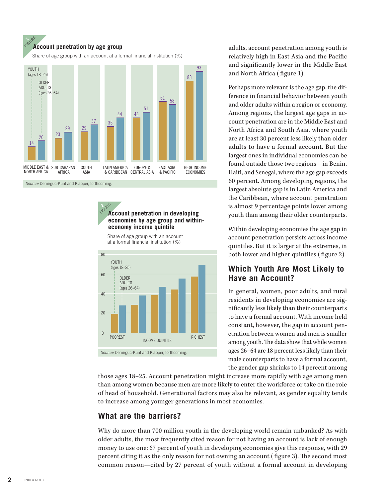#### FIGURE **Account penetration by age group**

Share of age group with an account at a formal financial institution (%)



*Source:* Demirguc-Kunt and Klapper, forthcoming.

k<sup>Sure</sup><br>**Account penetration in developing economies by age group and withineconomy income quintile** 

Share of age group with an account at a formal financial institution (%)



adults, account penetration among youth is relatively high in East Asia and the Pacific and significantly lower in the Middle East and North Africa ( figure 1).

Perhaps more relevant is the age gap, the difference in financial behavior between youth and older adults within a region or economy. Among regions, the largest age gaps in account penetration are in the Middle East and North Africa and South Asia, where youth are at least 30 percent less likely than older adults to have a formal account. But the largest ones in individual economies can be found outside those two regions—in Benin, Haiti, and Senegal, where the age gap exceeds 60 percent. Among developing regions, the largest absolute gap is in Latin America and the Caribbean, where account penetration is almost 9 percentage points lower among youth than among their older counterparts.

Within developing economies the age gap in account penetration persists across income quintiles. But it is larger at the extremes, in both lower and higher quintiles ( figure 2).

#### **Which Youth Are Most Likely to Have an Account?**

In general, women, poor adults, and rural residents in developing economies are significantly less likely than their counterparts to have a formal account. With income held constant, however, the gap in account penetration between women and men is smaller among youth. The data show that while women ages 26–64 are 18 percent less likely than their male counterparts to have a formal account, the gender gap shrinks to 14 percent among

those ages 18–25. Account penetration might increase more rapidly with age among men than among women because men are more likely to enter the workforce or take on the role of head of household. Generational factors may also be relevant, as gender equality tends to increase among younger generations in most economies.

#### **What are the barriers?**

Why do more than 700 million youth in the developing world remain unbanked? As with older adults, the most frequently cited reason for not having an account is lack of enough money to use one: 67 percent of youth in developing economies give this response, with 29 percent citing it as the only reason for not owning an account ( figure 3). The second most common reason—cited by 27 percent of youth without a formal account in developing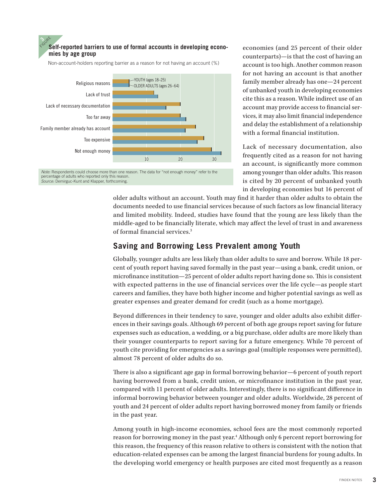

percentage of adults who reported only this reason. *Source:* Demirguc-Kunt and Klapper, forthcoming.

 $\mathcal{P}$ 

economies (and 25 percent of their older counterparts)—is that the cost of having an account is too high. Another common reason for not having an account is that another family member already has one—24 percent of unbanked youth in developing economies cite this as a reason. While indirect use of an account may provide access to financial services, it may also limit financial independence and delay the establishment of a relationship with a formal financial institution.

Lack of necessary documentation, also frequently cited as a reason for not having an account, is significantly more common among younger than older adults. This reason is cited by 20 percent of unbanked youth in developing economies but 16 percent of

older adults without an account. Youth may find it harder than older adults to obtain the documents needed to use financial services because of such factors as low financial literacy and limited mobility. Indeed, studies have found that the young are less likely than the middle-aged to be financially literate, which may affect the level of trust in and awareness of formal financial services.3

### **Saving and Borrowing Less Prevalent among Youth**

Globally, younger adults are less likely than older adults to save and borrow. While 18 percent of youth report having saved formally in the past year—using a bank, credit union, or microfinance institution—25 percent of older adults report having done so. This is consistent with expected patterns in the use of financial services over the life cycle—as people start careers and families, they have both higher income and higher potential savings as well as greater expenses and greater demand for credit (such as a home mortgage).

Beyond differences in their tendency to save, younger and older adults also exhibit differences in their savings goals. Although 69 percent of both age groups report saving for future expenses such as education, a wedding, or a big purchase, older adults are more likely than their younger counterparts to report saving for a future emergency. While 70 percent of youth cite providing for emergencies as a savings goal (multiple responses were permitted), almost 78 percent of older adults do so.

There is also a significant age gap in formal borrowing behavior—6 percent of youth report having borrowed from a bank, credit union, or microfinance institution in the past year, compared with 11 percent of older adults. Interestingly, there is no significant difference in informal borrowing behavior between younger and older adults. Worldwide, 28 percent of youth and 24 percent of older adults report having borrowed money from family or friends in the past year.

Among youth in high-income economies, school fees are the most commonly reported reason for borrowing money in the past year.<sup>4</sup> Although only 6 percent report borrowing for this reason, the frequency of this reason relative to others is consistent with the notion that education-related expenses can be among the largest financial burdens for young adults. In the developing world emergency or health purposes are cited most frequently as a reason